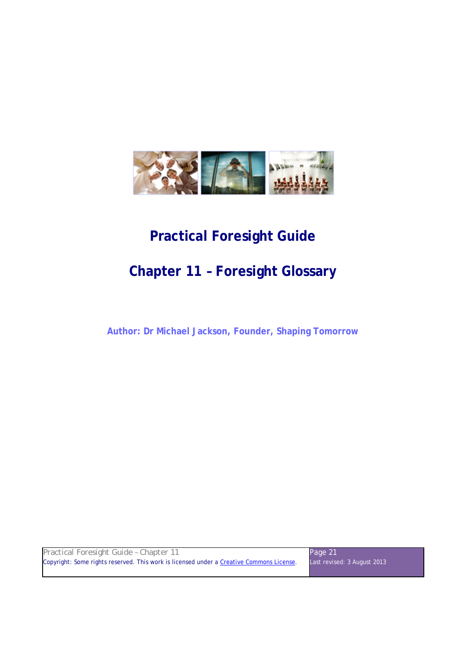

## **Practical Foresight Guide**

## **Chapter 11 – Foresight Glossary**

**Author: Dr Michael Jackson, Founder, Shaping Tomorrow** 

| Practical Foresight Guide - Chapter 11                                                   | Page 21                     |
|------------------------------------------------------------------------------------------|-----------------------------|
| Copyright: Some rights reserved. This work is licensed under a Creative Commons License. | Last revised: 3 August 2013 |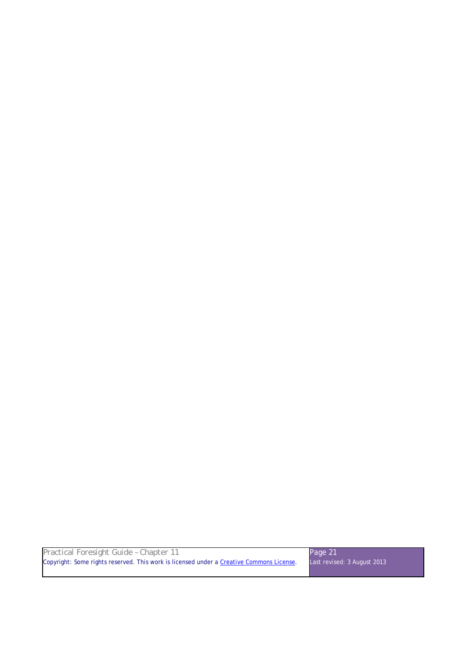| Practical Foresight Guide - Chapter 11                                                   | Page 21                     |
|------------------------------------------------------------------------------------------|-----------------------------|
| Copyright: Some rights reserved. This work is licensed under a Creative Commons License. | Last revised: 3 August 2013 |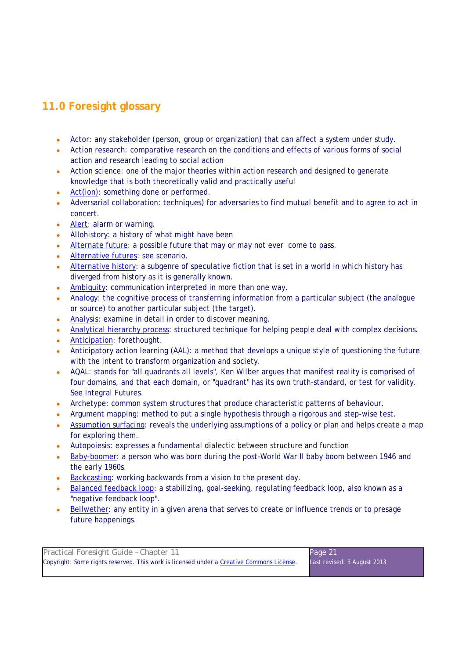## **11.0 Foresight glossary**

- Actor: any stakeholder (person, group or organization) that can affect a system under study.
- Action research: comparative research on the conditions and effects of various forms of social action and research leading to social action
- Action science: one of the major theories within action research and designed to generate knowledge that is both theoretically valid and practically useful
- Act(ion): something done or performed.
- Adversarial collaboration: techniques) for adversaries to find mutual benefit and to agree to act in concert.
- Alert: alarm or warning.
- Allohistory: a history of what might have been
- Alternate future: a possible future that may or may not ever come to pass.
- Alternative futures: see scenario.
- Alternative history: a subgenre of speculative fiction that is set in a world in which history has diverged from history as it is generally known.
- Ambiguity: communication interpreted in more than one way.
- Analogy: the cognitive process of transferring information from a particular subject (the analogue or source) to another particular subject (the target).
- Analysis: examine in detail in order to discover meaning.
- Analytical hierarchy process: structured technique for helping people deal with complex decisions.
- Anticipation: forethought.
- Anticipatory action learning (AAL): a method that develops a unique style of questioning the future with the intent to transform organization and society.
- AQAL: stands for "all quadrants all levels", Ken Wilber argues that manifest reality is comprised of four domains, and that each domain, or "quadrant" has its own truth-standard, or test for validity. See Integral Futures.
- Archetype: common system structures that produce characteristic patterns of behaviour.
- Argument mapping: method to put a single hypothesis through a rigorous and step-wise test.
- Assumption surfacing: reveals the underlying assumptions of a policy or plan and helps create a map for exploring them.
- Autopoiesis: expresses a fundamental dialectic between structure and function
- Baby-boomer: a person who was born during the post-World War II baby boom between 1946 and the early 1960s.
- Backcasting: working backwards from a vision to the present day.
- Balanced feedback loop: a stabilizing, goal-seeking, regulating feedback loop, also known as a "negative feedback loop".
- Bellwether: any entity in a given arena that serves to create or influence trends or to presage future happenings.

| Practical Foresight Guide - Chapter 11                                                   | Page 21                     |
|------------------------------------------------------------------------------------------|-----------------------------|
| Copyright: Some rights reserved. This work is licensed under a Creative Commons License. | Last revised: 3 August 2013 |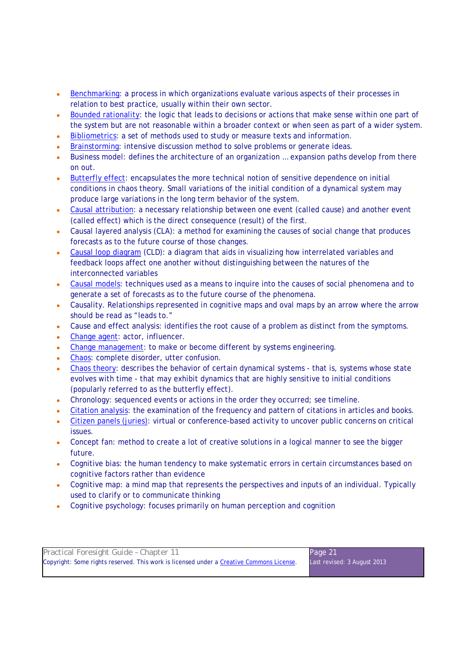- Benchmarking: a process in which organizations evaluate various aspects of their processes in relation to best practice, usually within their own sector.
- Bounded rationality: the logic that leads to decisions or actions that make sense within one part of the system but are not reasonable within a broader context or when seen as part of a wider system.
- Bibliometrics: a set of methods used to study or measure texts and information.
- Brainstorming: intensive discussion method to solve problems or generate ideas.
- Business model: defines the architecture of an organization ... expansion paths develop from there on out.
- Butterfly effect: encapsulates the more technical notion of sensitive dependence on initial conditions in chaos theory. Small variations of the initial condition of a dynamical system may produce large variations in the long term behavior of the system.
- Causal attribution: a necessary relationship between one event (called cause) and another event (called effect) which is the direct consequence (result) of the first.
- Causal layered analysis (CLA): a method for examining the causes of social change that produces forecasts as to the future course of those changes.
- Causal loop diagram (CLD): a diagram that aids in visualizing how interrelated variables and feedback loops affect one another without distinguishing between the natures of the interconnected variables
- Causal models: techniques used as a means to inquire into the causes of social phenomena and to generate a set of forecasts as to the future course of the phenomena.
- Causality. Relationships represented in cognitive maps and oval maps by an arrow where the arrow should be read as "leads to."
- Cause and effect analysis: identifies the root cause of a problem as distinct from the symptoms.
- Change agent: actor, influencer.
- Change management: to make or become different by systems engineering.
- Chaos: complete disorder, utter confusion.
- Chaos theory: describes the behavior of certain dynamical systems that is, systems whose state evolves with time - that may exhibit dynamics that are highly sensitive to initial conditions (popularly referred to as the butterfly effect).
- Chronology: sequenced events or actions in the order they occurred; see timeline.
- Citation analysis: the examination of the frequency and pattern of citations in articles and books.
- Citizen panels (juries): virtual or conference-based activity to uncover public concerns on critical issues.
- Concept fan: method to create a lot of creative solutions in a logical manner to see the bigger future.
- Cognitive bias: the human tendency to make systematic errors in certain circumstances based on cognitive factors rather than evidence
- Cognitive map: a mind map that represents the perspectives and inputs of an individual. Typically used to clarify or to communicate thinking
- Cognitive psychology: focuses primarily on human perception and cognition

| Practical Foresight Guide - Chapter 11                                                   | Page 21                     |
|------------------------------------------------------------------------------------------|-----------------------------|
| Copyright: Some rights reserved. This work is licensed under a Creative Commons License. | Last revised: 3 August 2013 |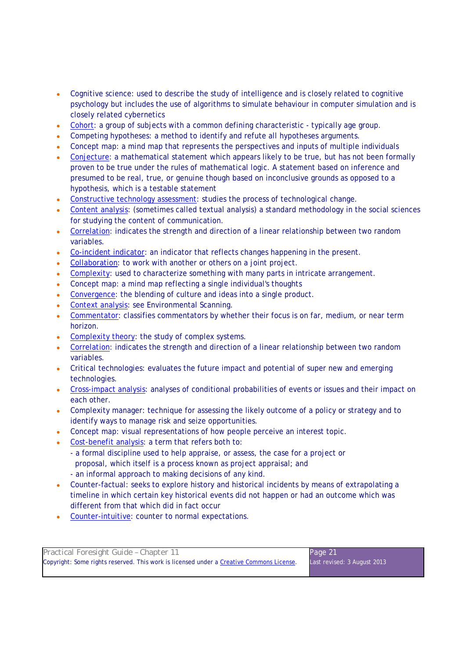- Cognitive science: used to describe the study of intelligence and is closely related to cognitive psychology but includes the use of algorithms to simulate behaviour in computer simulation and is closely related cybernetics
- Cohort: a group of subjects with a common defining characteristic typically age group.
- Competing hypotheses: a method to identify and refute all hypotheses arguments.
- Concept map: a mind map that represents the perspectives and inputs of multiple individuals
- Conjecture: a mathematical statement which appears likely to be true, but has not been formally proven to be true under the rules of mathematical logic. A statement based on inference and presumed to be real, true, or genuine though based on inconclusive grounds as opposed to a hypothesis, which is a testable statement
- Constructive technology assessment: studies the process of technological change.
- Content analysis: (sometimes called textual analysis) a standard methodology in the social sciences for studying the content of communication.
- Correlation: indicates the strength and direction of a linear relationship between two random variables.
- Co-incident indicator: an indicator that reflects changes happening in the present.
- Collaboration: to work with another or others on a joint project.
- Complexity: used to characterize something with many parts in intricate arrangement.
- Concept map: a mind map reflecting a single individual's thoughts
- Convergence: the blending of culture and ideas into a single product.
- Context analysis: see Environmental Scanning.
- Commentator: classifies commentators by whether their focus is on far, medium, or near term horizon.
- Complexity theory: the study of complex systems.
- Correlation: indicates the strength and direction of a linear relationship between two random variables.
- Critical technologies: evaluates the future impact and potential of super new and emerging technologies.
- Cross-impact analysis: analyses of conditional probabilities of events or issues and their impact on each other.
- Complexity manager: technique for assessing the likely outcome of a policy or strategy and to identify ways to manage risk and seize opportunities.
- Concept map: visual representations of how people perceive an interest topic.
- Cost-benefit analysis: a term that refers both to:
	- a formal discipline used to help appraise, or assess, the case for a project or proposal, which itself is a process known as project appraisal; and
		- an informal approach to making decisions of any kind.
- Counter-factual: seeks to explore history and historical incidents by means of extrapolating a timeline in which certain key historical events did not happen or had an outcome which was different from that which did in fact occur
- Counter-intuitive: counter to normal expectations.

| Practical Foresight Guide - Chapter 11                                                   | Page 21                     |
|------------------------------------------------------------------------------------------|-----------------------------|
| Copyright: Some rights reserved. This work is licensed under a Creative Commons License. | Last revised: 3 August 2013 |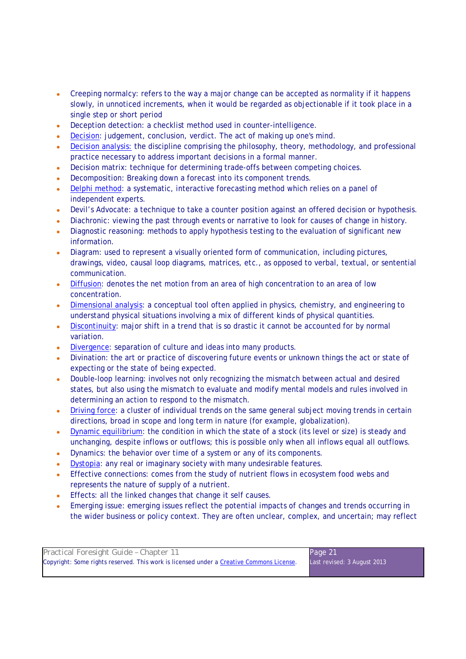- Creeping normalcy: refers to the way a major change can be accepted as normality if it happens slowly, in unnoticed increments, when it would be regarded as objectionable if it took place in a single step or short period
- Deception detection: a checklist method used in counter-intelligence.
- Decision: judgement, conclusion, verdict. The act of making up one's mind.
- Decision analysis: the discipline comprising the philosophy, theory, methodology, and professional practice necessary to address important decisions in a formal manner.
- Decision matrix: technique for determining trade-offs between competing choices.
- Decomposition: Breaking down a forecast into its component trends.
- Delphi method: a systematic, interactive forecasting method which relies on a panel of independent experts.
- Devil's Advocate: a technique to take a counter position against an offered decision or hypothesis.
- Diachronic: viewing the past through events or narrative to look for causes of change in history.
- Diagnostic reasoning: methods to apply hypothesis testing to the evaluation of significant new information.
- Diagram: used to represent a visually oriented form of communication, including pictures, drawings, video, causal loop diagrams, matrices, etc., as opposed to verbal, textual, or sentential communication.
- Diffusion: denotes the net motion from an area of high concentration to an area of low concentration.
- Dimensional analysis: a conceptual tool often applied in physics, chemistry, and engineering to understand physical situations involving a mix of different kinds of physical quantities.
- Discontinuity: major shift in a trend that is so drastic it cannot be accounted for by normal variation.
- Divergence: separation of culture and ideas into many products.
- Divination: the art or practice of discovering future events or unknown things the act or state of expecting or the state of being expected.
- Double-loop learning: involves not only recognizing the mismatch between actual and desired states, but also using the mismatch to evaluate and modify mental models and rules involved in determining an action to respond to the mismatch.
- Driving force: a cluster of individual trends on the same general subject moving trends in certain directions, broad in scope and long term in nature (for example, globalization).
- Dynamic equilibrium: the condition in which the state of a stock (its level or size) is steady and unchanging, despite inflows or outflows; this is possible only when all inflows equal all outflows.
- Dynamics: the behavior over time of a system or any of its components.
- Dystopia: any real or imaginary society with many undesirable features.
- Effective connections: comes from the study of nutrient flows in ecosystem food webs and represents the nature of supply of a nutrient.
- Effects: all the linked changes that change it self causes.
- Emerging issue: emerging issues reflect the potential impacts of changes and trends occurring in the wider business or policy context. They are often unclear, complex, and uncertain; may reflect

| Practical Foresight Guide - Chapter 11                                                   | Page 21                     |
|------------------------------------------------------------------------------------------|-----------------------------|
| Copyright: Some rights reserved. This work is licensed under a Creative Commons License. | Last revised: 3 August 2013 |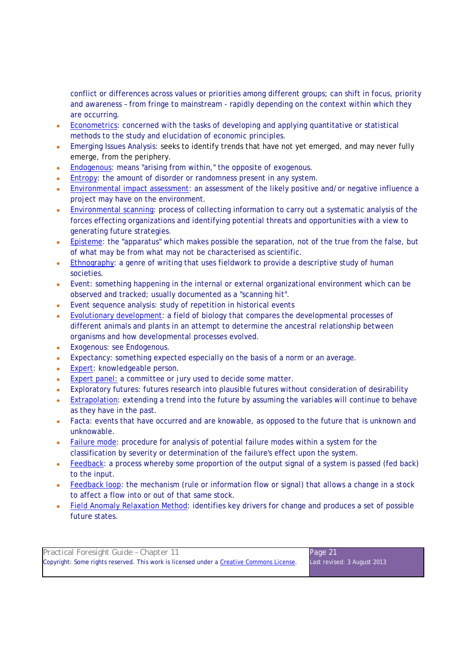conflict or differences across values or priorities among different groups; can shift in focus, priority and awareness – from fringe to mainstream - rapidly depending on the context within which they are occurring.

- Econometrics: concerned with the tasks of developing and applying quantitative or statistical methods to the study and elucidation of economic principles.
- Emerging Issues Analysis: seeks to identify trends that have not yet emerged, and may never fully emerge, from the periphery.
- Endogenous: means "arising from within," the opposite of exogenous.
- Entropy: the amount of disorder or randomness present in any system.
- Environmental impact assessment: an assessment of the likely positive and/or negative influence a project may have on the environment.
- Environmental scanning: process of collecting information to carry out a systematic analysis of the forces effecting organizations and identifying potential threats and opportunities with a view to generating future strategies.
- Episteme: the "apparatus" which makes possible the separation, not of the true from the false, but of what may be from what may not be characterised as scientific.
- Ethnography: a genre of writing that uses fieldwork to provide a descriptive study of human societies.
- Event: something happening in the internal or external organizational environment which can be observed and tracked; usually documented as a "scanning hit".
- Event sequence analysis: study of repetition in historical events
- Evolutionary development: a field of biology that compares the developmental processes of different animals and plants in an attempt to determine the ancestral relationship between organisms and how developmental processes evolved.
- Exogenous: see Endogenous.
- Expectancy: something expected especially on the basis of a norm or an average.
- Expert: knowledgeable person.
- Expert panel: a committee or jury used to decide some matter.
- Exploratory futures: futures research into plausible futures without consideration of desirability
- Extrapolation: extending a trend into the future by assuming the variables will continue to behave as they have in the past.
- Facta: events that have occurred and are knowable, as opposed to the future that is unknown and unknowable.
- Failure mode: procedure for analysis of potential failure modes within a system for the classification by severity or determination of the failure's effect upon the system.
- Feedback: a process whereby some proportion of the output signal of a system is passed (fed back) to the input.
- Feedback loop: the mechanism (rule or information flow or signal) that allows a change in a stock to affect a flow into or out of that same stock.
- Field Anomaly Relaxation Method: identifies key drivers for change and produces a set of possible future states.

| Practical Foresight Guide - Chapter 11                                                   | Page 21                     |
|------------------------------------------------------------------------------------------|-----------------------------|
| Copyright: Some rights reserved. This work is licensed under a Creative Commons License. | Last revised: 3 August 2013 |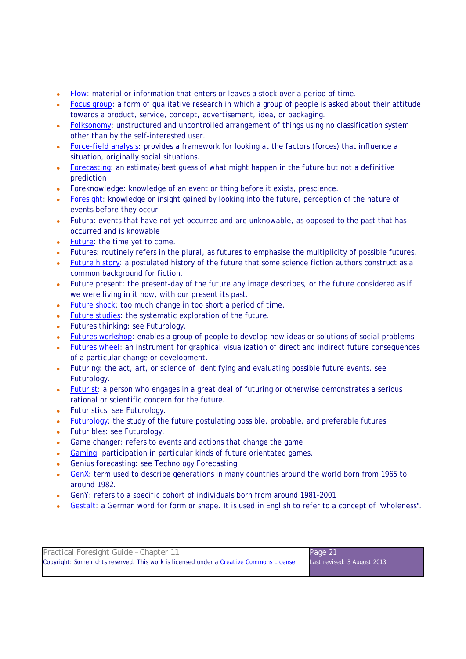- Flow: material or information that enters or leaves a stock over a period of time.
- Focus group: a form of qualitative research in which a group of people is asked about their attitude towards a product, service, concept, advertisement, idea, or packaging.
- Folksonomy: unstructured and uncontrolled arrangement of things using no classification system other than by the self-interested user.
- Force-field analysis: provides a framework for looking at the factors (forces) that influence a situation, originally social situations.
- Forecasting: an estimate/best guess of what might happen in the future but not a definitive prediction
- Foreknowledge: knowledge of an event or thing before it exists, prescience.
- Foresight: knowledge or insight gained by looking into the future, perception of the nature of events before they occur
- Futura: events that have not vet occurred and are unknowable, as opposed to the past that has occurred and is knowable
- Future: the time yet to come.
- Futures: routinely refers in the plural, as futures to emphasise the multiplicity of possible futures.
- Future history: a postulated history of the future that some science fiction authors construct as a common background for fiction.
- Future present: the present-day of the future any image describes, or the future considered as if we were living in it now, with our present its past.
- Future shock: too much change in too short a period of time.
- Future studies: the systematic exploration of the future.
- Futures thinking: see Futurology.
- Futures workshop: enables a group of people to develop new ideas or solutions of social problems.
- Futures wheel: an instrument for graphical visualization of direct and indirect future consequences of a particular change or development.
- Futuring: the act, art, or science of identifying and evaluating possible future events. see Futurology.
- Futurist: a person who engages in a great deal of futuring or otherwise demonstrates a serious rational or scientific concern for the future.
- Futuristics: see Futurology.
- Futurology: the study of the future postulating possible, probable, and preferable futures.
- Futuribles: see Futurology.
- Game changer: refers to events and actions that change the game
- Gaming: participation in particular kinds of future orientated games.
- Genius forecasting: see Technology Forecasting.
- GenX: term used to describe generations in many countries around the world born from 1965 to around 1982.
- GenY: refers to a specific cohort of individuals born from around 1981-2001
- Gestalt: a German word for form or shape. It is used in English to refer to a concept of "wholeness".

| Practical Foresight Guide - Chapter 11                                                   | Page 21                     |
|------------------------------------------------------------------------------------------|-----------------------------|
| Copyright: Some rights reserved. This work is licensed under a Creative Commons License. | Last revised: 3 August 2013 |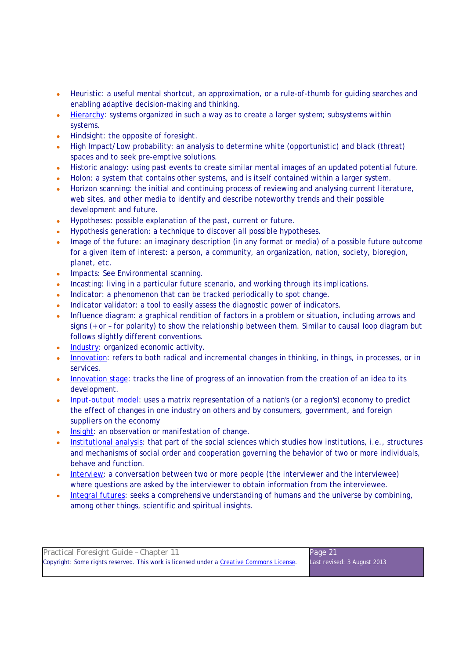- Heuristic: a useful mental shortcut, an approximation, or a rule-of-thumb for quiding searches and enabling adaptive decision-making and thinking.
- Hierarchy: systems organized in such a way as to create a larger system; subsystems within systems.
- Hindsight: the opposite of foresight.
- High Impact/Low probability: an analysis to determine white (opportunistic) and black (threat) spaces and to seek pre-emptive solutions.
- Historic analogy: using past events to create similar mental images of an updated potential future.
- Holon: a system that contains other systems, and is itself contained within a larger system.
- Horizon scanning: the initial and continuing process of reviewing and analysing current literature, web sites, and other media to identify and describe noteworthy trends and their possible development and future.
- Hypotheses: possible explanation of the past, current or future.
- Hypothesis generation: a technique to discover all possible hypotheses.
- Image of the future: an imaginary description (in any format or media) of a possible future outcome for a given item of interest: a person, a community, an organization, nation, society, bioregion, planet, etc.
- Impacts: See Environmental scanning.
- Incasting: living in a particular future scenario, and working through its implications.
- Indicator: a phenomenon that can be tracked periodically to spot change.
- Indicator validator: a tool to easily assess the diagnostic power of indicators.
- Influence diagram: a graphical rendition of factors in a problem or situation, including arrows and signs (+ or – for polarity) to show the relationship between them. Similar to causal loop diagram but follows slightly different conventions.
- Industry: organized economic activity.
- Innovation: refers to both radical and incremental changes in thinking, in things, in processes, or in services.
- Innovation stage: tracks the line of progress of an innovation from the creation of an idea to its development.
- Input-output model: uses a matrix representation of a nation's (or a region's) economy to predict the effect of changes in one industry on others and by consumers, government, and foreign suppliers on the economy
- Insight: an observation or manifestation of change.
- Institutional analysis: that part of the social sciences which studies how institutions, i.e., structures and mechanisms of social order and cooperation governing the behavior of two or more individuals, behave and function.
- Interview: a conversation between two or more people (the interviewer and the interviewee) where questions are asked by the interviewer to obtain information from the interviewee.
- Integral futures: seeks a comprehensive understanding of humans and the universe by combining, among other things, scientific and spiritual insights.

| Practical Foresight Guide - Chapter 11                                                   | Page 21                     |
|------------------------------------------------------------------------------------------|-----------------------------|
| Copyright: Some rights reserved. This work is licensed under a Creative Commons License. | Last revised: 3 August 2013 |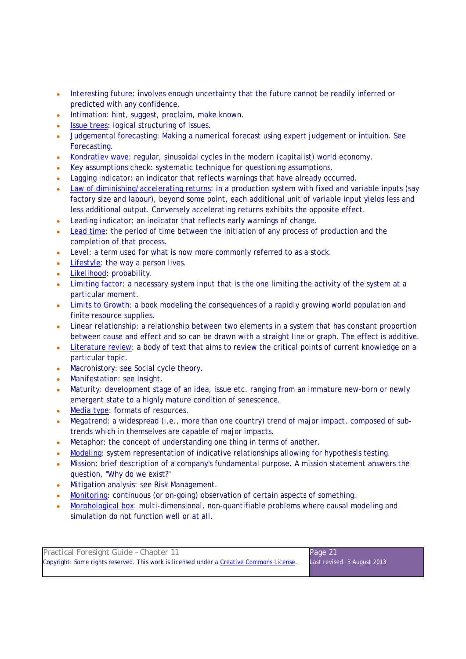- Interesting future: involves enough uncertainty that the future cannot be readily inferred or predicted with any confidence.
- Intimation: hint, suggest, proclaim, make known.
- Issue trees: logical structuring of issues.
- Judgemental forecasting: Making a numerical forecast using expert judgement or intuition. See Forecasting.
- Kondratiev wave: regular, sinusoidal cycles in the modern (capitalist) world economy.
- Key assumptions check: systematic technique for questioning assumptions.
- Lagging indicator: an indicator that reflects warnings that have already occurred.
- Law of diminishing/accelerating returns: in a production system with fixed and variable inputs (say factory size and labour), beyond some point, each additional unit of variable input yields less and less additional output. Conversely accelerating returns exhibits the opposite effect.
- Leading indicator: an indicator that reflects early warnings of change.
- Lead time: the period of time between the initiation of any process of production and the completion of that process.
- Level: a term used for what is now more commonly referred to as a stock.
- Lifestyle: the way a person lives.
- Likelihood: probability.
- Limiting factor: a necessary system input that is the one limiting the activity of the system at a particular moment.
- Limits to Growth: a book modeling the consequences of a rapidly growing world population and finite resource supplies.
- Linear relationship: a relationship between two elements in a system that has constant proportion between cause and effect and so can be drawn with a straight line or graph. The effect is additive.
- Literature review: a body of text that aims to review the critical points of current knowledge on a particular topic.
- Macrohistory: see Social cycle theory.
- Manifestation: see Insight.
- Maturity: development stage of an idea, issue etc. ranging from an immature new-born or newly emergent state to a highly mature condition of senescence.
- Media type: formats of resources.
- Megatrend: a widespread (i.e., more than one country) trend of major impact, composed of subtrends which in themselves are capable of major impacts.
- Metaphor: the concept of understanding one thing in terms of another.
- Modeling: system representation of indicative relationships allowing for hypothesis testing.
- Mission: brief description of a company's fundamental purpose. A mission statement answers the question, "Why do we exist?"
- Mitigation analysis: see Risk Management.
- Monitoring: continuous (or on-going) observation of certain aspects of something.
- Morphological box: multi-dimensional, non-quantifiable problems where causal modeling and simulation do not function well or at all.

| Practical Foresight Guide - Chapter 11                                                   | Page 21                     |
|------------------------------------------------------------------------------------------|-----------------------------|
| Copyright: Some rights reserved. This work is licensed under a Creative Commons License. | Last revised: 3 August 2013 |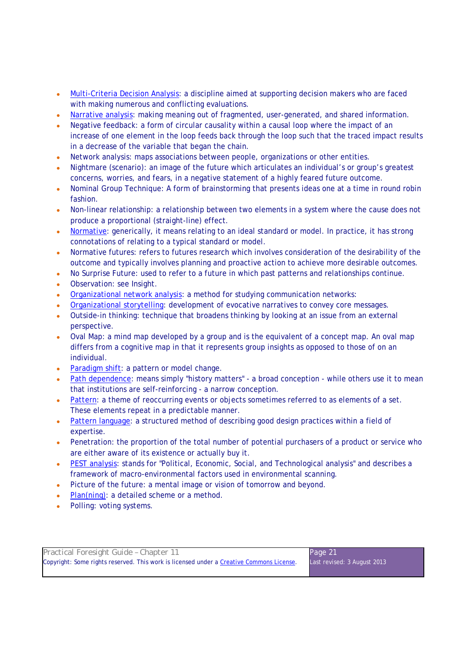- Multi-Criteria Decision Analysis: a discipline aimed at supporting decision makers who are faced with making numerous and conflicting evaluations.
- Narrative analysis: making meaning out of fragmented, user-generated, and shared information.
- Negative feedback: a form of circular causality within a causal loop where the impact of an increase of one element in the loop feeds back through the loop such that the traced impact results in a decrease of the variable that began the chain.
- Network analysis: maps associations between people, organizations or other entities.
- Nightmare (scenario): an image of the future which articulates an individual's or group's greatest concerns, worries, and fears, in a negative statement of a highly feared future outcome.
- Nominal Group Technique: A form of brainstorming that presents ideas one at a time in round robin fashion.
- Non-linear relationship: a relationship between two elements in a system where the cause does not produce a proportional (straight-line) effect.
- Normative: generically, it means relating to an ideal standard or model. In practice, it has strong connotations of relating to a typical standard or model.
- Normative futures: refers to futures research which involves consideration of the desirability of the outcome and typically involves planning and proactive action to achieve more desirable outcomes.
- No Surprise Future: used to refer to a future in which past patterns and relationships continue.
- Observation: see Insight.
- Organizational network analysis: a method for studying communication networks:
- Organizational storytelling: development of evocative narratives to convey core messages.
- Outside-in thinking: technique that broadens thinking by looking at an issue from an external perspective.
- Oval Map: a mind map developed by a group and is the equivalent of a concept map. An oval map differs from a cognitive map in that it represents group insights as opposed to those of on an individual.
- Paradigm shift: a pattern or model change.
- Path dependence: means simply "history matters" a broad conception while others use it to mean that institutions are self-reinforcing - a narrow conception.
- Pattern: a theme of reoccurring events or objects sometimes referred to as elements of a set. These elements repeat in a predictable manner.
- Pattern language: a structured method of describing good design practices within a field of expertise.
- Penetration: the proportion of the total number of potential purchasers of a product or service who are either aware of its existence or actually buy it.
- PEST analysis: stands for "Political, Economic, Social, and Technological analysis" and describes a framework of macro-environmental factors used in environmental scanning.
- Picture of the future: a mental image or vision of tomorrow and beyond.
- Plan(ning): a detailed scheme or a method.
- Polling: voting systems.

| Practical Foresight Guide - Chapter 11                                                   | Page 21                     |
|------------------------------------------------------------------------------------------|-----------------------------|
| Copyright: Some rights reserved. This work is licensed under a Creative Commons License. | Last revised: 3 August 2013 |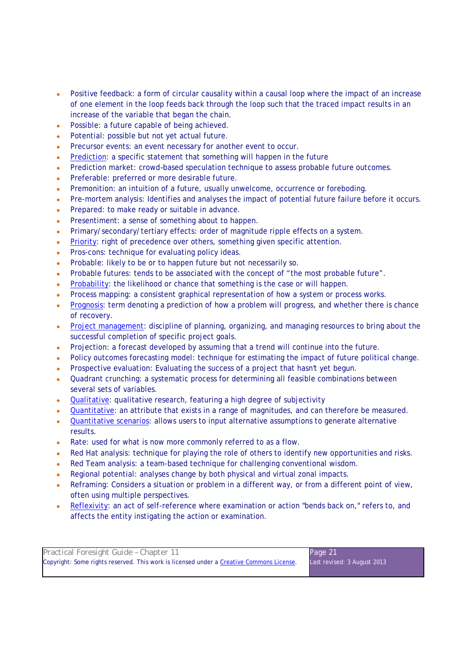- Positive feedback: a form of circular causality within a causal loop where the impact of an increase of one element in the loop feeds back through the loop such that the traced impact results in an increase of the variable that began the chain.
- Possible: a future capable of being achieved.
- Potential: possible but not yet actual future.
- Precursor events: an event necessary for another event to occur.
- Prediction: a specific statement that something will happen in the future
- Prediction market: crowd-based speculation technique to assess probable future outcomes.
- Preferable: preferred or more desirable future.
- Premonition: an intuition of a future, usually unwelcome, occurrence or foreboding.
- Pre-mortem analysis: Identifies and analyses the impact of potential future failure before it occurs.
- Prepared: to make ready or suitable in advance.
- Presentiment: a sense of something about to happen.
- Primary/secondary/tertiary effects: order of magnitude ripple effects on a system.
- Priority: right of precedence over others, something given specific attention.
- Pros-cons: technique for evaluating policy ideas.
- Probable: likely to be or to happen future but not necessarily so.
- Probable futures: tends to be associated with the concept of "the most probable future".
- Probability: the likelihood or chance that something is the case or will happen.
- Process mapping: a consistent graphical representation of how a system or process works.
- Prognosis: term denoting a prediction of how a problem will progress, and whether there is chance of recovery.
- Project management: discipline of planning, organizing, and managing resources to bring about the successful completion of specific project goals.
- Projection: a forecast developed by assuming that a trend will continue into the future.
- Policy outcomes forecasting model: technique for estimating the impact of future political change.
- Prospective evaluation: Evaluating the success of a project that hasn't yet begun.
- Quadrant crunching: a systematic process for determining all feasible combinations between several sets of variables.
- Qualitative: qualitative research, featuring a high degree of subjectivity
- Quantitative: an attribute that exists in a range of magnitudes, and can therefore be measured.
- Quantitative scenarios: allows users to input alternative assumptions to generate alternative results.
- Rate: used for what is now more commonly referred to as a flow.
- Red Hat analysis: technique for playing the role of others to identify new opportunities and risks.
- Red Team analysis: a team-based technique for challenging conventional wisdom.
- Regional potential: analyses change by both physical and virtual zonal impacts.
- Reframing: Considers a situation or problem in a different way, or from a different point of view, often using multiple perspectives.
- Reflexivity: an act of self-reference where examination or action "bends back on," refers to, and affects the entity instigating the action or examination.

| Practical Foresight Guide - Chapter 11                                                   | Page 21                     |
|------------------------------------------------------------------------------------------|-----------------------------|
| Copyright: Some rights reserved. This work is licensed under a Creative Commons License. | Last revised: 3 August 2013 |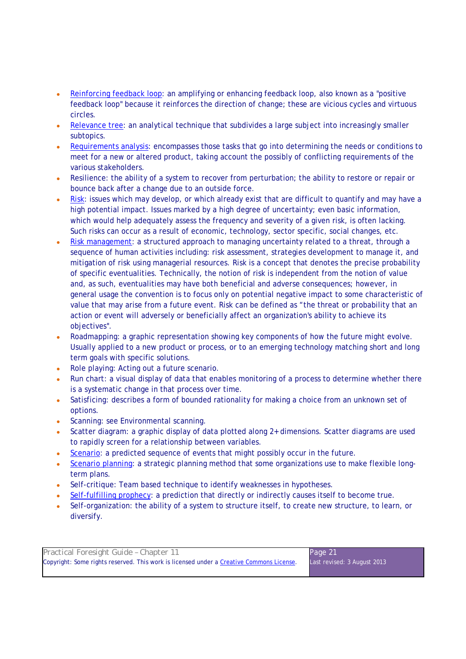- Reinforcing feedback loop: an amplifying or enhancing feedback loop, also known as a "positive" feedback loop" because it reinforces the direction of change; these are vicious cycles and virtuous circles.
- Relevance tree: an analytical technique that subdivides a large subject into increasingly smaller subtopics.
- Requirements analysis: encompasses those tasks that go into determining the needs or conditions to meet for a new or altered product, taking account the possibly of conflicting requirements of the various stakeholders.
- Resilience: the ability of a system to recover from perturbation; the ability to restore or repair or bounce back after a change due to an outside force.
- Risk: issues which may develop, or which already exist that are difficult to quantify and may have a high potential impact. Issues marked by a high degree of uncertainty; even basic information, which would help adequately assess the frequency and severity of a given risk, is often lacking. Such risks can occur as a result of economic, technology, sector specific, social changes, etc.
- Risk management: a structured approach to managing uncertainty related to a threat, through a sequence of human activities including: risk assessment, strategies development to manage it, and mitigation of risk using managerial resources. Risk is a concept that denotes the precise probability of specific eventualities. Technically, the notion of risk is independent from the notion of value and, as such, eventualities may have both beneficial and adverse consequences; however, in general usage the convention is to focus only on potential negative impact to some characteristic of value that may arise from a future event. Risk can be defined as "the threat or probability that an action or event will adversely or beneficially affect an organization's ability to achieve its objectives".
- Roadmapping: a graphic representation showing key components of how the future might evolve. Usually applied to a new product or process, or to an emerging technology matching short and long term goals with specific solutions.
- Role playing: Acting out a future scenario.
- Run chart: a visual display of data that enables monitoring of a process to determine whether there is a systematic change in that process over time.
- Satisficing: describes a form of bounded rationality for making a choice from an unknown set of options.
- Scanning: see Environmental scanning.
- Scatter diagram: a graphic display of data plotted along 2+ dimensions. Scatter diagrams are used to rapidly screen for a relationship between variables.
- Scenario: a predicted sequence of events that might possibly occur in the future.
- Scenario planning: a strategic planning method that some organizations use to make flexible longterm plans.
- Self-critique: Team based technique to identify weaknesses in hypotheses.
- Self-fulfilling prophecy: a prediction that directly or indirectly causes itself to become true.
- Self-organization: the ability of a system to structure itself, to create new structure, to learn, or diversify.

| Practical Foresight Guide - Chapter 11                                                   | Page 21                     |
|------------------------------------------------------------------------------------------|-----------------------------|
| Copyright: Some rights reserved. This work is licensed under a Creative Commons License. | Last revised: 3 August 2013 |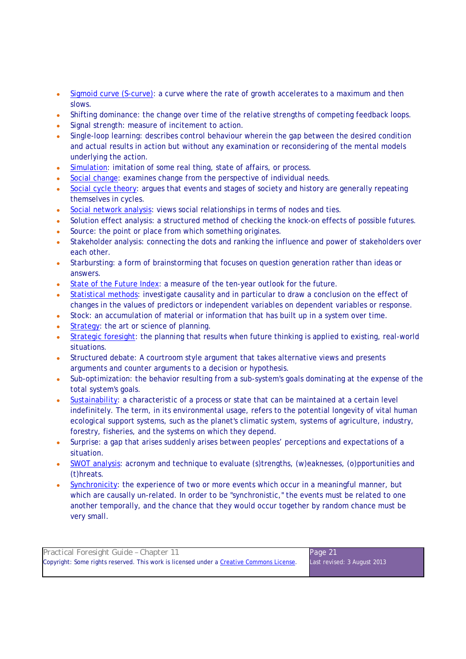- Sigmoid curve (S-curve): a curve where the rate of growth accelerates to a maximum and then slows.
- Shifting dominance: the change over time of the relative strengths of competing feedback loops.
- Signal strength: measure of incitement to action.
- Single-loop learning: describes control behaviour wherein the gap between the desired condition and actual results in action but without any examination or reconsidering of the mental models underlying the action.
- Simulation: imitation of some real thing, state of affairs, or process.
- Social change: examines change from the perspective of individual needs.
- Social cycle theory: argues that events and stages of society and history are generally repeating themselves in cycles.
- Social network analysis: views social relationships in terms of nodes and ties.
- Solution effect analysis: a structured method of checking the knock-on effects of possible futures.
- Source: the point or place from which something originates.
- Stakeholder analysis: connecting the dots and ranking the influence and power of stakeholders over each other.
- Starbursting: a form of brainstorming that focuses on question generation rather than ideas or answers.
- State of the Future Index: a measure of the ten-year outlook for the future.
- Statistical methods: investigate causality and in particular to draw a conclusion on the effect of changes in the values of predictors or independent variables on dependent variables or response.
- Stock: an accumulation of material or information that has built up in a system over time.
- Strategy: the art or science of planning.
- Strategic foresight: the planning that results when future thinking is applied to existing, real-world situations.
- Structured debate: A courtroom style argument that takes alternative views and presents arguments and counter arguments to a decision or hypothesis.
- Sub-optimization: the behavior resulting from a sub-system's goals dominating at the expense of the total system's goals.
- Sustainability: a characteristic of a process or state that can be maintained at a certain level indefinitely. The term, in its environmental usage, refers to the potential longevity of vital human ecological support systems, such as the planet's climatic system, systems of agriculture, industry, forestry, fisheries, and the systems on which they depend.
- Surprise: a gap that arises suddenly arises between peoples' perceptions and expectations of a situation.
- SWOT analysis: acronym and technique to evaluate (s)trengths, (w)eaknesses, (o)pportunities and (t)hreats.
- Synchronicity: the experience of two or more events which occur in a meaningful manner, but which are causally un-related. In order to be "synchronistic," the events must be related to one another temporally, and the chance that they would occur together by random chance must be very small.

| Practical Foresight Guide - Chapter 11                                                   | Page 21                     |
|------------------------------------------------------------------------------------------|-----------------------------|
| Copyright: Some rights reserved. This work is licensed under a Creative Commons License. | Last revised: 3 August 2013 |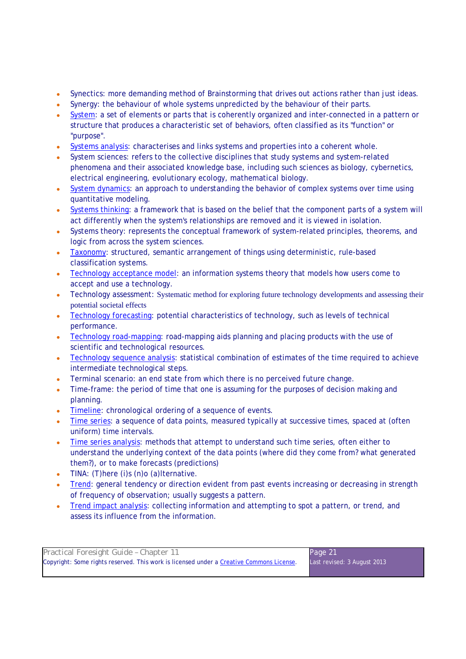- Synectics: more demanding method of Brainstorming that drives out actions rather than just ideas.
- Synergy: the behaviour of whole systems unpredicted by the behaviour of their parts.
- System: a set of elements or parts that is coherently organized and inter-connected in a pattern or structure that produces a characteristic set of behaviors, often classified as its "function" or "purpose".
- Systems analysis: characterises and links systems and properties into a coherent whole.
- System sciences: refers to the collective disciplines that study systems and system-related phenomena and their associated knowledge base, including such sciences as biology, cybernetics, electrical engineering, evolutionary ecology, mathematical biology.
- System dynamics: an approach to understanding the behavior of complex systems over time using quantitative modeling.
- Systems thinking: a framework that is based on the belief that the component parts of a system will act differently when the system's relationships are removed and it is viewed in isolation.
- Systems theory: represents the conceptual framework of system-related principles, theorems, and logic from across the system sciences.
- Taxonomy: structured, semantic arrangement of things using deterministic, rule-based classification systems.
- Technology acceptance model: an information systems theory that models how users come to accept and use a technology.
- Technology assessment: Systematic method for exploring future technology developments and assessing their potential societal effects
- Technology forecasting: potential characteristics of technology, such as levels of technical performance.
- Technology road-mapping: road-mapping aids planning and placing products with the use of scientific and technological resources.
- Technology sequence analysis: statistical combination of estimates of the time required to achieve intermediate technological steps.
- Terminal scenario: an end state from which there is no perceived future change.
- Time-frame: the period of time that one is assuming for the purposes of decision making and planning.
- Timeline: chronological ordering of a sequence of events.
- Time series: a sequence of data points, measured typically at successive times, spaced at (often uniform) time intervals.
- Time series analysis: methods that attempt to understand such time series, often either to understand the underlying context of the data points (where did they come from? what generated them?), or to make forecasts (predictions)
- TINA: (T)here (i)s (n)o (a)lternative.
- Trend: general tendency or direction evident from past events increasing or decreasing in strength of frequency of observation; usually suggests a pattern.
- Trend impact analysis: collecting information and attempting to spot a pattern, or trend, and assess its influence from the information.

| Practical Foresight Guide - Chapter 11                                                   | Page 21                     |
|------------------------------------------------------------------------------------------|-----------------------------|
| Copyright: Some rights reserved. This work is licensed under a Creative Commons License. | Last revised: 3 August 2013 |